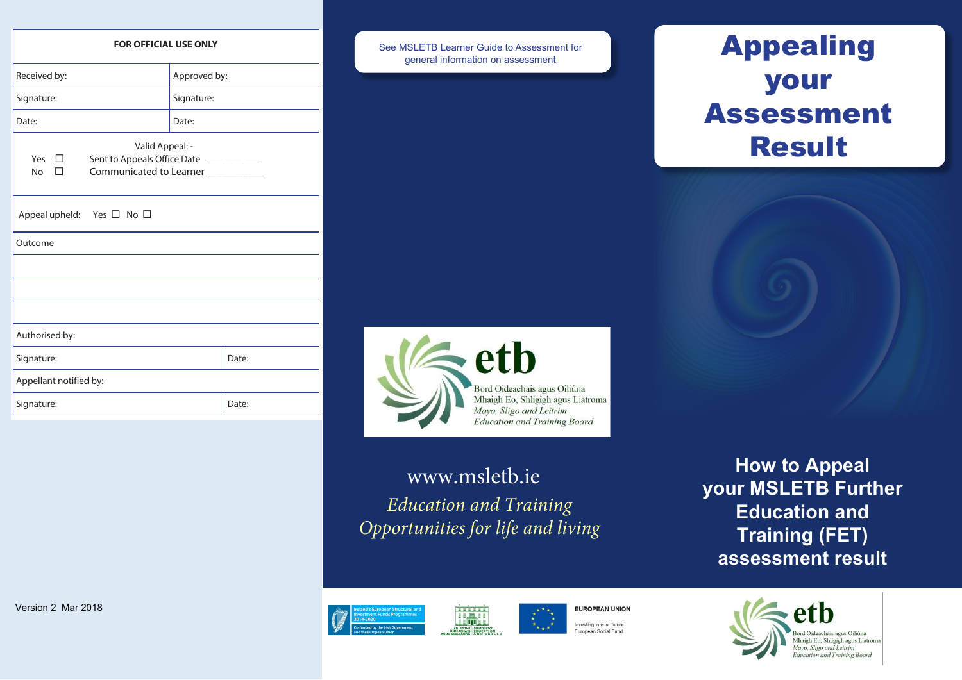**How to Appeal your MSLETB Further Education and Training (FET) assessment result** 



#### **FOR OFFICIAL USE ONLY**

| Approved by:<br>Signature:                                                                                                |       |  |
|---------------------------------------------------------------------------------------------------------------------------|-------|--|
|                                                                                                                           |       |  |
|                                                                                                                           |       |  |
| Date:                                                                                                                     |       |  |
| Valid Appeal: -<br>Yes $\square$<br>Sent to Appeals Office Date ____________<br>Communicated to Learner<br><b>No</b><br>П |       |  |
| Appeal upheld: Yes $\Box$ No $\Box$                                                                                       |       |  |
| Outcome                                                                                                                   |       |  |
|                                                                                                                           |       |  |
|                                                                                                                           |       |  |
|                                                                                                                           |       |  |
| Authorised by:                                                                                                            |       |  |
|                                                                                                                           | Date: |  |
| Appellant notified by:                                                                                                    |       |  |
|                                                                                                                           | Date: |  |
|                                                                                                                           |       |  |

See MSLETB Learner Guide to Assessment for general information on assessment





# Appealing your Assessment Result

## www.msletb.ie *Education and Training Opportunities for life and living*







**EUROPEAN UNION** 

European Social Fund

Investing in your future